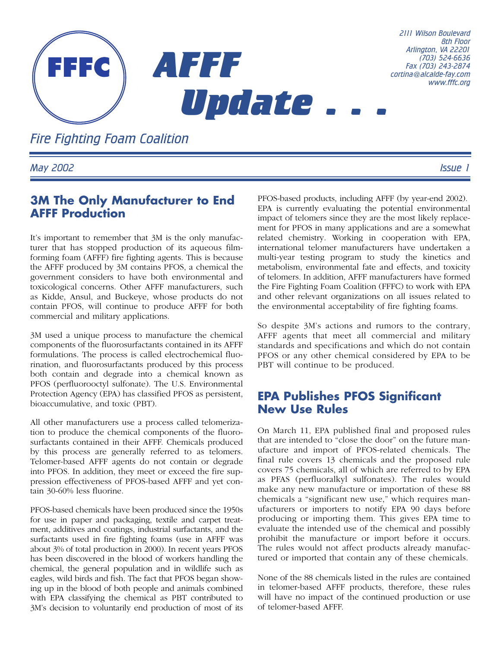

*Fire Fighting Foam Coalition*

*May 2002 Issue 1*

## **3M The Only Manufacturer to End AFFF Production**

It's important to remember that 3M is the only manufacturer that has stopped production of its aqueous filmforming foam (AFFF) fire fighting agents. This is because the AFFF produced by 3M contains PFOS, a chemical the government considers to have both environmental and toxicological concerns. Other AFFF manufacturers, such as Kidde, Ansul, and Buckeye, whose products do not contain PFOS, will continue to produce AFFF for both commercial and military applications.

3M used a unique process to manufacture the chemical components of the fluorosurfactants contained in its AFFF formulations. The process is called electrochemical fluorination, and fluorosurfactants produced by this process both contain and degrade into a chemical known as PFOS (perfluorooctyl sulfonate). The U.S. Environmental Protection Agency (EPA) has classified PFOS as persistent, bioaccumulative, and toxic (PBT).

All other manufacturers use a process called telomerization to produce the chemical components of the fluorosurfactants contained in their AFFF. Chemicals produced by this process are generally referred to as telomers. Telomer-based AFFF agents do not contain or degrade into PFOS. In addition, they meet or exceed the fire suppression effectiveness of PFOS-based AFFF and yet contain 30-60% less fluorine.

PFOS-based chemicals have been produced since the 1950s for use in paper and packaging, textile and carpet treatment, additives and coatings, industrial surfactants, and the surfactants used in fire fighting foams (use in AFFF was about 3% of total production in 2000). In recent years PFOS has been discovered in the blood of workers handling the chemical, the general population and in wildlife such as eagles, wild birds and fish. The fact that PFOS began showing up in the blood of both people and animals combined with EPA classifying the chemical as PBT contributed to 3M's decision to voluntarily end production of most of its PFOS-based products, including AFFF (by year-end 2002). EPA is currently evaluating the potential environmental impact of telomers since they are the most likely replacement for PFOS in many applications and are a somewhat related chemistry. Working in cooperation with EPA, international telomer manufacturers have undertaken a multi-year testing program to study the kinetics and metabolism, environmental fate and effects, and toxicity of telomers. In addition, AFFF manufacturers have formed the Fire Fighting Foam Coalition (FFFC) to work with EPA and other relevant organizations on all issues related to the environmental acceptability of fire fighting foams.

So despite 3M's actions and rumors to the contrary, AFFF agents that meet all commercial and military standards and specifications and which do not contain PFOS or any other chemical considered by EPA to be PBT will continue to be produced.

## **EPA Publishes PFOS Significant New Use Rules**

On March 11, EPA published final and proposed rules that are intended to "close the door" on the future manufacture and import of PFOS-related chemicals. The final rule covers 13 chemicals and the proposed rule covers 75 chemicals, all of which are referred to by EPA as PFAS (perfluoralkyl sulfonates). The rules would make any new manufacture or importation of these 88 chemicals a "significant new use," which requires manufacturers or importers to notify EPA 90 days before producing or importing them. This gives EPA time to evaluate the intended use of the chemical and possibly prohibit the manufacture or import before it occurs. The rules would not affect products already manufactured or imported that contain any of these chemicals.

None of the 88 chemicals listed in the rules are contained in telomer-based AFFF products, therefore, these rules will have no impact of the continued production or use of telomer-based AFFF.

*8th Floor*